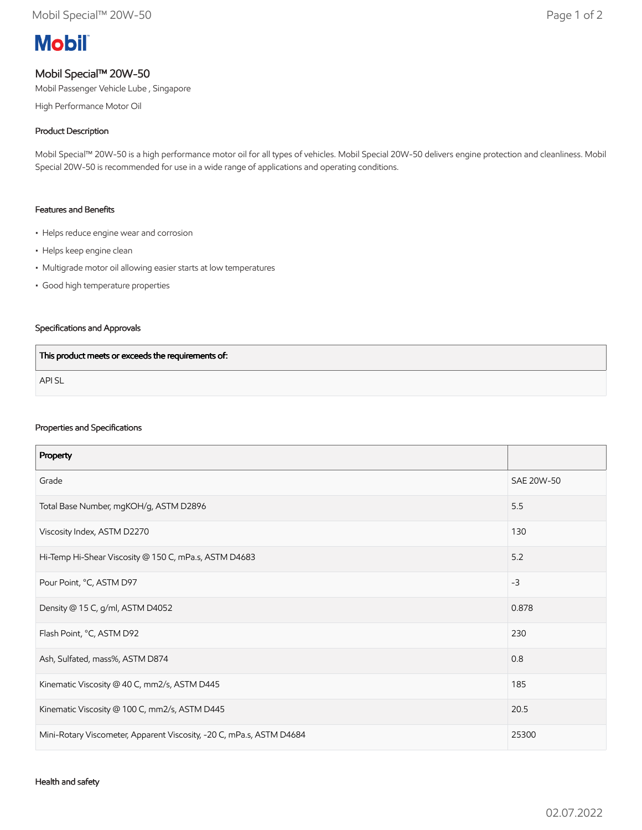# **Mobil**

## Mobil Special™ 20W-50

Mobil Passenger Vehicle Lube , Singapore

High Performance Motor Oil

#### Product Description

Mobil Special™ 20W-50 is a high performance motor oil for all types of vehicles. Mobil Special 20W-50 delivers engine protection and cleanliness. Mobil Special 20W-50 is recommended for use in a wide range of applications and operating conditions.

#### Features and Benefits

- Helps reduce engine wear and corrosion
- Helps keep engine clean
- Multigrade motor oil allowing easier starts at low temperatures
- Good high temperature properties

#### Specifications and Approvals

| This product meets or exceeds the requirements of: |  |
|----------------------------------------------------|--|
| <b>APISL</b>                                       |  |

#### Properties and Specifications

| Property                                                             |            |
|----------------------------------------------------------------------|------------|
| Grade                                                                | SAE 20W-50 |
| Total Base Number, mgKOH/g, ASTM D2896                               | 5.5        |
| Viscosity Index, ASTM D2270                                          | 130        |
| Hi-Temp Hi-Shear Viscosity @ 150 C, mPa.s, ASTM D4683                | 5.2        |
| Pour Point, °C, ASTM D97                                             | $-3$       |
| Density @ 15 C, g/ml, ASTM D4052                                     | 0.878      |
| Flash Point, °C, ASTM D92                                            | 230        |
| Ash, Sulfated, mass%, ASTM D874                                      | 0.8        |
| Kinematic Viscosity @ 40 C, mm2/s, ASTM D445                         | 185        |
| Kinematic Viscosity @ 100 C, mm2/s, ASTM D445                        | 20.5       |
| Mini-Rotary Viscometer, Apparent Viscosity, -20 C, mPa.s, ASTM D4684 | 25300      |